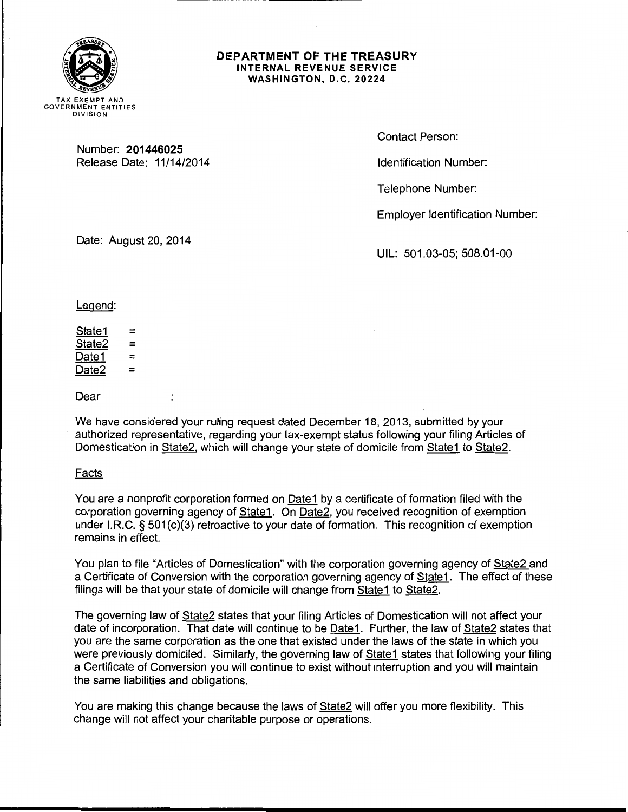

### DEPARTMENT OF THE TREASURY INTERNAL REVENUE SERVICE WASHINGTON, D.C. 20224

Number: 201446025 Release Date: 11/14/2014 Contact Person:

Identification Number:

Telephone Number:

Employer Identification Number:

Date: August 20, 2014

 $\ddot{\cdot}$ 

UIL: 501.03-05; 508.01-00

Legend:

 $State1 =$ State2 = Date1  $=$ Date $2 =$ 

Dear

We have considered your ruling request dated December 18, 2013, submitted by your authorized representative, regarding your tax-exempt status following your filing Articles of Domestication in State2, which will change your state of domicile from State1 to State2.

Facts

You are a nonprofit corporation formed on Date1 by a certificate of formation filed with the corporation governing agency of State1. On Date2, you received recognition of exemption under I.R.C. § 501(c)(3) retroactive to your date of formation. This recognition of exemption remains in effect.

You plan to file "Articles of Domestication" with the corporation governing agency of State2 and a Certificate of Conversion with the corporation governing agency of State1. The effect of these filings will be that your state of domicile will change from State1 to State2.

The governing law of State2 states that your filing Articles of Domestication will not affect your date of incorporation. That date will continue to be Date1. Further, the law of State2 states that you are the same corporation as the one that existed under the laws of the state in which you were previously domiciled. Similarly, the governing law of State1 states that following your filing a Certificate of Conversion you will continue to exist without interruption and you will maintain the same liabilities and obligations.

You are making this change because the laws of State2 will offer you more flexibility. This change will not affect your charitable purpose or operations.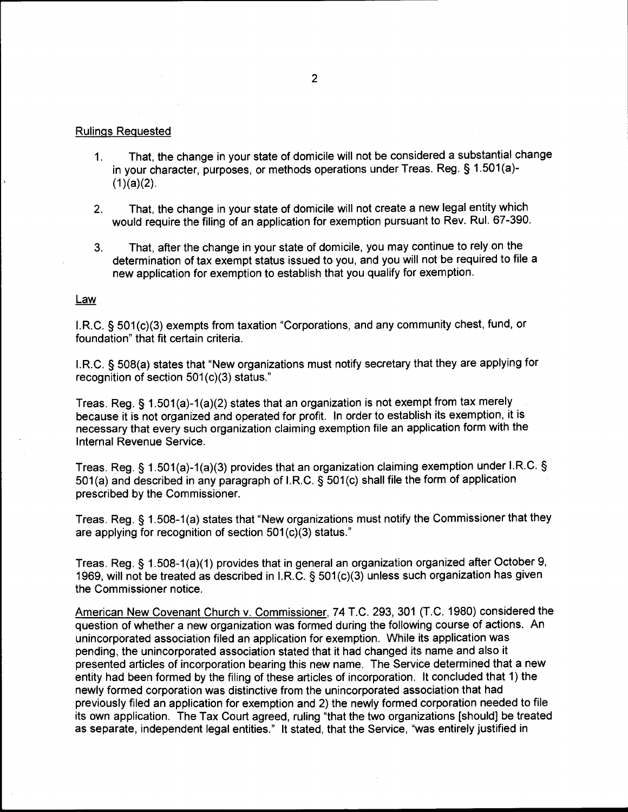# Rulings Requested

- 1. That, the change in your state of domicile will not be considered a substantial change in your character, purposes, or methods operations under Treas. Reg. § 1.501 (a)-  $(1)(a)(2)$ .
- 2. That, the change in your state of domicile will not create a new legal entity which would require the filing of an application for exemption pursuant to Rev. Rul. 67-390.
- 3. That, after the change in your state of domicile, you may continue to rely on the determination of tax exempt status issued to you, and you will not be required to file a new application for exemption to establish that you qualify for exemption.

# Law

I.R.C. § 501 (c)(3) exempts from taxation "Corporations, and any community chest, fund, or foundation" that fit certain criteria.

I.R.C. § 508(a) states that "New organizations must notify secretary that they are applying for recognition of section  $501(c)(3)$  status."

Treas. Reg. § 1.501(a)-1(a)(2) states that an organization is not exempt from tax merely because it is not organized and operated for profit. In order to establish its exemption, it is necessary that every such organization claiming exemption file an application form with the Internal Revenue Service.

Treas. Reg.§ 1.501(a)-1(a)(3) provides that an organization claiming exemption under I.R.C. § 501 (a) and described in any paragraph of I.R.C. § 501 (c) shall file the form of application prescribed by the Commissioner.

Treas. Reg. § 1.508-1(a) states that "New organizations must notify the Commissioner that they are applying for recognition of section  $501(c)(3)$  status."

Treas. Reg. § 1.508-1 (a)(1) provides that in general an organization organized after October 9, 1969, will not be treated as described in I.R.C. § 501 (c)(3) unless such organization has given the Commissioner notice.

American New Covenant Church v. Commissioner, 74 T.C. 293, 301 (T.C. 1980) considered the question of whether a new organization was formed during the following course of actions. An unincorporated association filed an application for exemption. While its application was pending, the unincorporated association stated that it had changed its name and also it presented articles of incorporation bearing this new name. The Service determined that a new entity had been formed by the filing of these articles of incorporation. It concluded that 1) the newly formed corporation was distinctive from the unincorporated association that had previously filed an application for exemption and 2) the newly formed corporation needed to file its own application. The Tax Court agreed, ruling "that the two organizations [should] be treated as separate, independent legal entities." It stated, that the Service, "was entirely justified in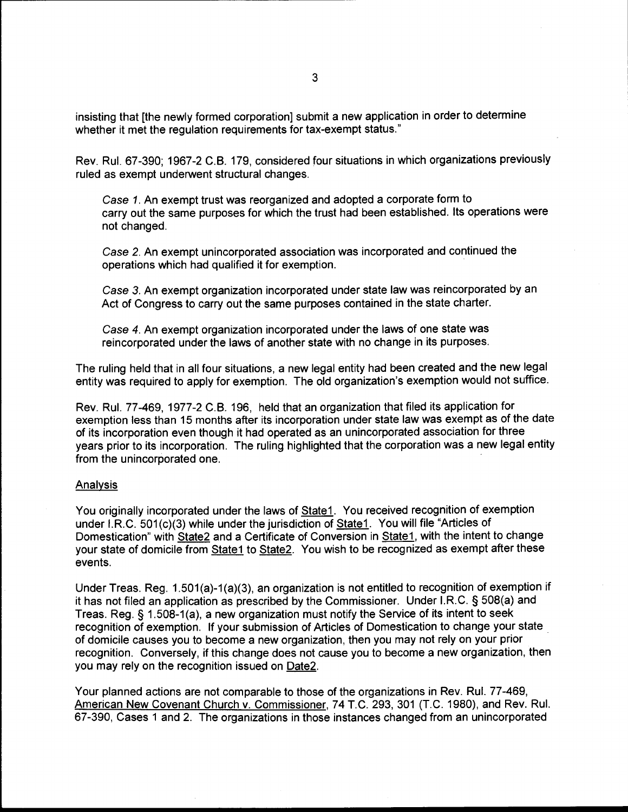insisting that [the newly formed corporation] submit a new application in order to determine whether it met the regulation requirements for tax-exempt status."

Rev. Rul. 67-390; 1967-2 C.B. 179, considered four situations in which organizations previously ruled as exempt underwent structural changes.

Case 1. An exempt trust was reorganized and adopted a corporate form to carry out the same purposes for which the trust had been established. Its operations were not changed.

Case 2. An exempt unincorporated association was incorporated and continued the operations which had qualified it for exemption. ·

Case 3. An exempt organization incorporated under state law was reincorporated by an Act of Congress to carry out the same purposes contained in the state charter.

Case 4. An exempt organization incorporated under the laws of one state was reincorporated under the laws of another state with no change in its purposes.

The ruling held that in all four situations, a new legal entity had been created and the new legal entity was required to apply for exemption. The old organization's exemption would not suffice.

Rev. Rul. 77-469, 1977-2 C.B. 196, held that an organization that filed its application for exemption less than 15 months after its incorporation under state law was exempt as of the date of its incorporation even though it had operated as an unincorporated association for three years prior to its incorporation. The ruling highlighted that the corporation was a new legal entity from the unincorporated one.

## Analysis

You originally incorporated under the laws of State1. You received recognition of exemption under I.R.C. 501(c)(3) while under the jurisdiction of State1. You will file "Articles of Domestication" with State2 and a Certificate of Conversion in State1, with the intent to change your state of domicile from State1 to State2. You wish to be recognized as exempt after these events.

Under Treas. Reg. 1.501(a)-1 (a)(3), an organization is not entitled to recognition of exemption if it has not filed an application as prescribed by the Commissioner. Under I.R.C. § 508(a) and Treas. Reg. § 1.508-1 (a), a new organization must notify the Service of its intent to seek recognition of exemption. If your submission of Articles of Domestication to change your state of domicile causes you to become a new organization, then you may not rely on your prior · recognition. Conversely, if this change does not cause you to become a new organization, then you may rely on the recognition issued on Date2.

Your planned actions are not comparable to those of the organizations in Rev. Rul. 77-469, American New Covenant Church v. Commissioner, 74 T.C. 293, 301 (T.C. 1980), and Rev. Rul. 67-390, Cases 1 and 2. The organizations in those instances changed from an unincorporated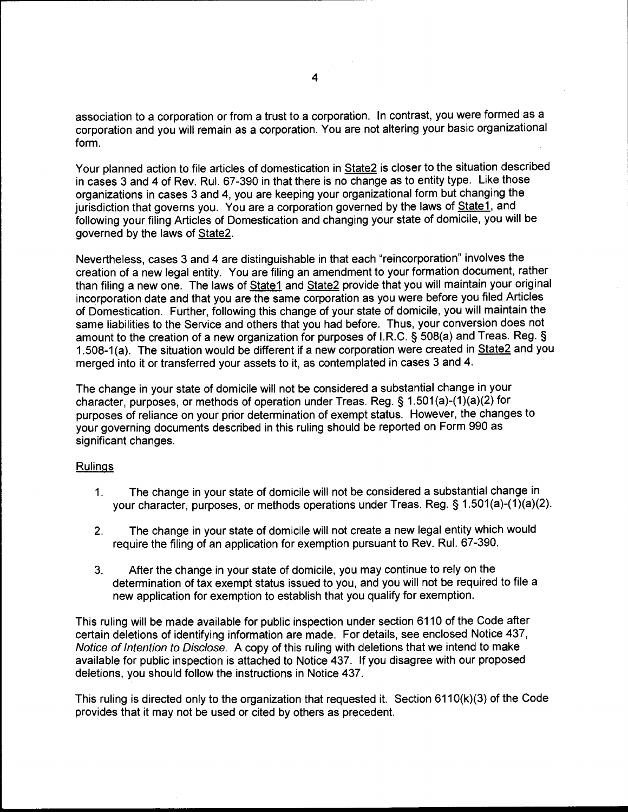association to a corporation or from a trust to a corporation. In contrast, you were formed as a corporation and you will remain as a corporation. You are not altering your basic organizational form.

Your planned action to file articles of domestication in State2 is closer to the situation described in cases 3 and 4 of Rev. Rul. 67-390 in that there is no change as to entity type. Like those organizations in cases 3 and 4, you are keeping your organizational form but changing the jurisdiction that governs you. You are a corporation governed by the laws of State1, and following your filing Articles of Domestication and changing your state of domicile, you will be governed by the laws of State2.

Nevertheless, cases 3 and 4 are distinguishable in that each "reincorporation" involves the creation of a new legal entity. You are filing an amendment to your formation document, rather than filing a new one. The laws of State1 and State2 provide that you will maintain your original incorporation date and that you are the same corporation as you were before you filed Articles of Domestication. Further, following this change of your state of domicile, you will maintain the same liabilities to the Service and others that you had before. Thus, your conversion does not amount to the creation of a new organization for purposes of I.R.C. § 508(a) and Treas. Reg. § 1.508-1(a). The situation would be different if a new corporation were created in State2 and you merged into it or transferred your assets to it, as contemplated in cases 3 and 4.

The change in your state of domicile will not be considered a substantial change in your character, purposes, or methods of operation under Treas. Reg. § 1.501 (a)-(1 )(a)(2) for purposes of reliance on your prior determination of exempt status. However, the changes to your governing documents described in this ruling should be reported on Form 990 as significant changes.

### Rulings

- 1. The change in your state of domicile will not be considered a substantial change in your character, purposes, or methods operations under Treas. Reg. § 1.501(a)-(1)(a)(2).
- 2. The change in your state of domicile will not create a new legal entity which would require the filing of an application for exemption pursuant to Rev. Rul. 67-390.
- 3. After the change in your state of domicile, you may continue to rely on the determination of tax exempt status issued to you, and you will not be required to file a new application for exemption to establish that you qualify for exemption.

This ruling will be made available for public inspection under section 6110 of the Code after certain deletions of identifying information are made. For details, see enclosed Notice 437, Notice of Intention to Disclose. A copy of this ruling with deletions that we intend to make available for public inspection is attached to Notice 437. If you disagree with our proposed deletions, you should follow the instructions in Notice 437.

This ruling is directed only to the organization that requested it. Section 6110(k)(3) of the Code provides that it may not be used or cited by others as precedent.